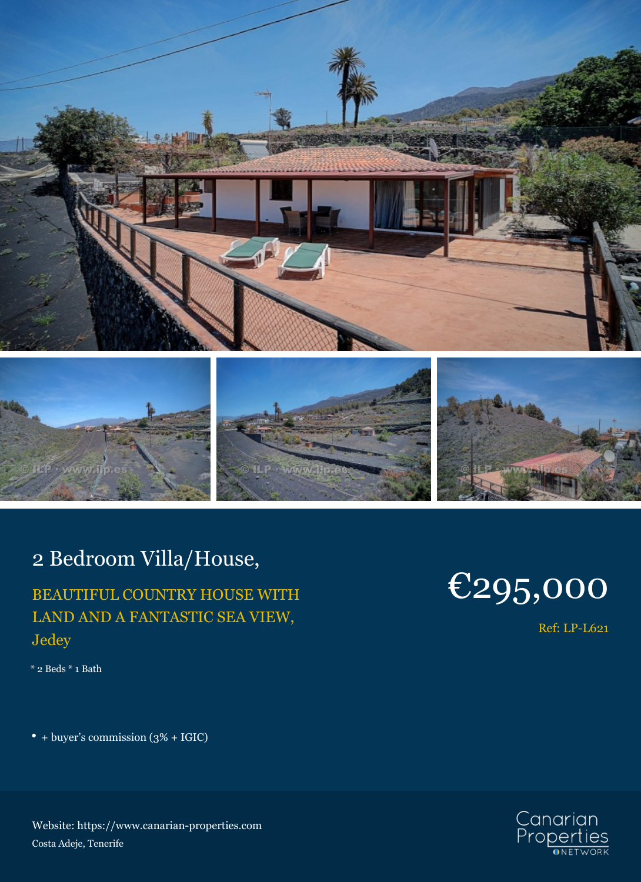



# 2 Bedroom Villa/House,

## BEAUTIFUL COUNTRY HOUSE WITH LAND AND A FANTASTIC SEA VIEW, Jedey

\* 2 Beds \* 1 Bath

+ buyer's commission (3% + IGIC)

### Website: https://www.canarian-properties.com Costa Adeje, Tenerife

# €295,000

Ref: LP-L621

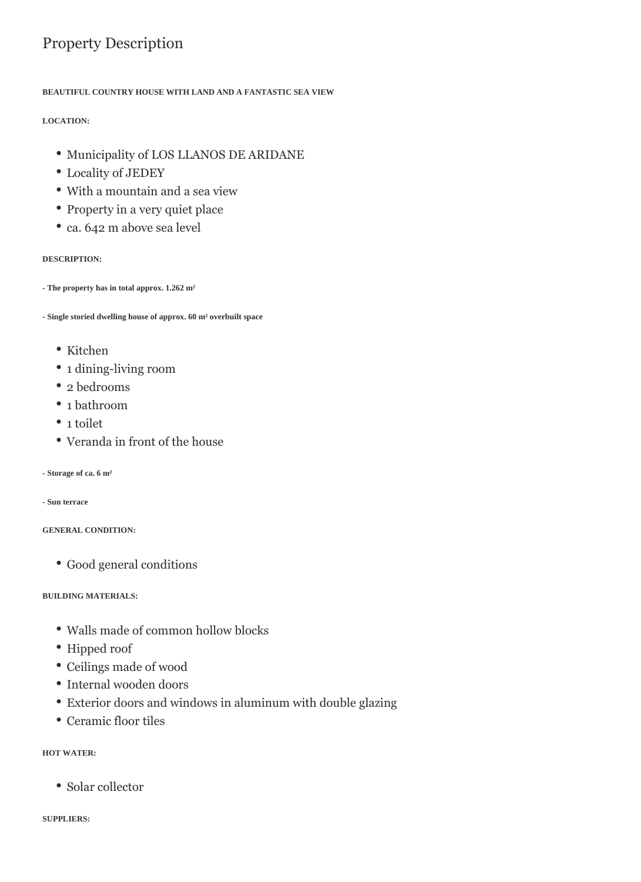## Property Description

#### **BEAUTIFUL COUNTRY HOUSE WITH LAND AND A FANTASTIC SEA VIEW**

#### **LOCATION:**

- Municipality of LOS LLANOS DE ARIDANE
- Locality of JEDEY
- With a mountain and a sea view
- Property in a very quiet place
- ca. 642 m above sea level

#### **DESCRIPTION:**

**- The property has in total approx. 1.262 m²**

**- Single storied dwelling house of approx. 60 m² overbuilt space**

- Kitchen
- 1 dining-living room
- 2 bedrooms
- 1 bathroom
- 1 toilet
- Veranda in front of the house
- **Storage of ca. 6 m²**

**- Sun terrace**

#### **GENERAL CONDITION:**

Good general conditions

#### **BUILDING MATERIALS:**

- Walls made of common hollow blocks
- Hipped roof
- Ceilings made of wood
- Internal wooden doors
- Exterior doors and windows in aluminum with double glazing
- Ceramic floor tiles

#### **HOT WATER:**

• Solar collector

**SUPPLIERS:**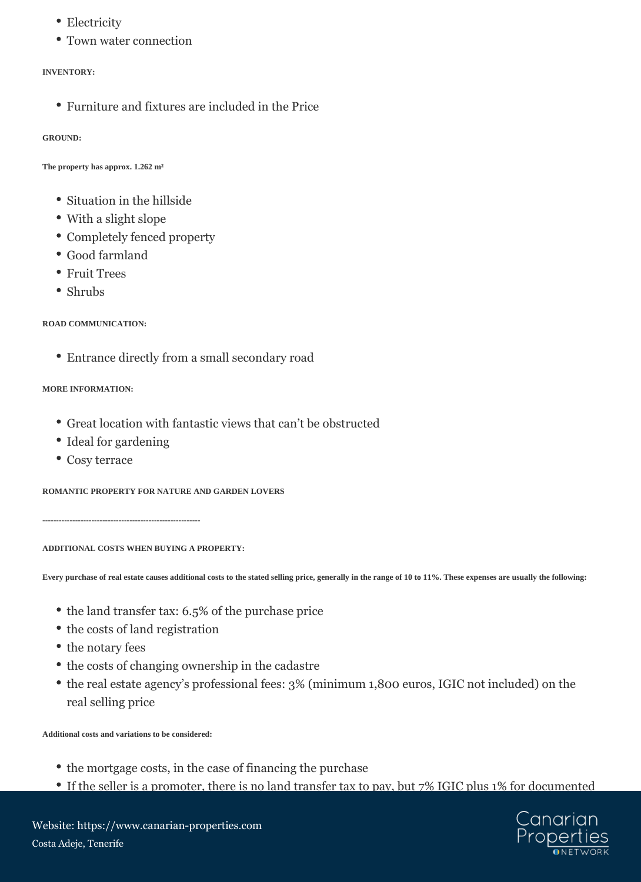- Electricity
- Town water connection

#### **INVENTORY:**

Furniture and fixtures are included in the Price

#### **GROUND:**

**The property has approx. 1.262 m²**

- Situation in the hillside
- With a slight slope
- Completely fenced property
- Good farmland
- Fruit Trees
- Shrubs

**ROAD COMMUNICATION:**

Entrance directly from a small secondary road

#### **MORE INFORMATION:**

- Great location with fantastic views that can't be obstructed
- Ideal for gardening
- Cosy terrace

**ROMANTIC PROPERTY FOR NATURE AND GARDEN LOVERS**

**----------------------------------------------------------**

**ADDITIONAL COSTS WHEN BUYING A PROPERTY:**

**Every purchase of real estate causes additional costs to the stated selling price, generally in the range of 10 to 11%. These expenses are usually the following:**

- the land transfer tax: 6.5% of the purchase price
- the costs of land registration
- the notary fees
- the costs of changing ownership in the cadastre
- the real estate agency's professional fees: 3% (minimum 1,800 euros, IGIC not included) on the real selling price

**Additional costs and variations to be considered:**

- the mortgage costs, in the case of financing the purchase
- If the seller is a promoter, there is no land transfer tax to pay, but 7% IGIC plus 1% for documented



Website: https://www.canarian-properties.com Costa Adeje, Tenerife